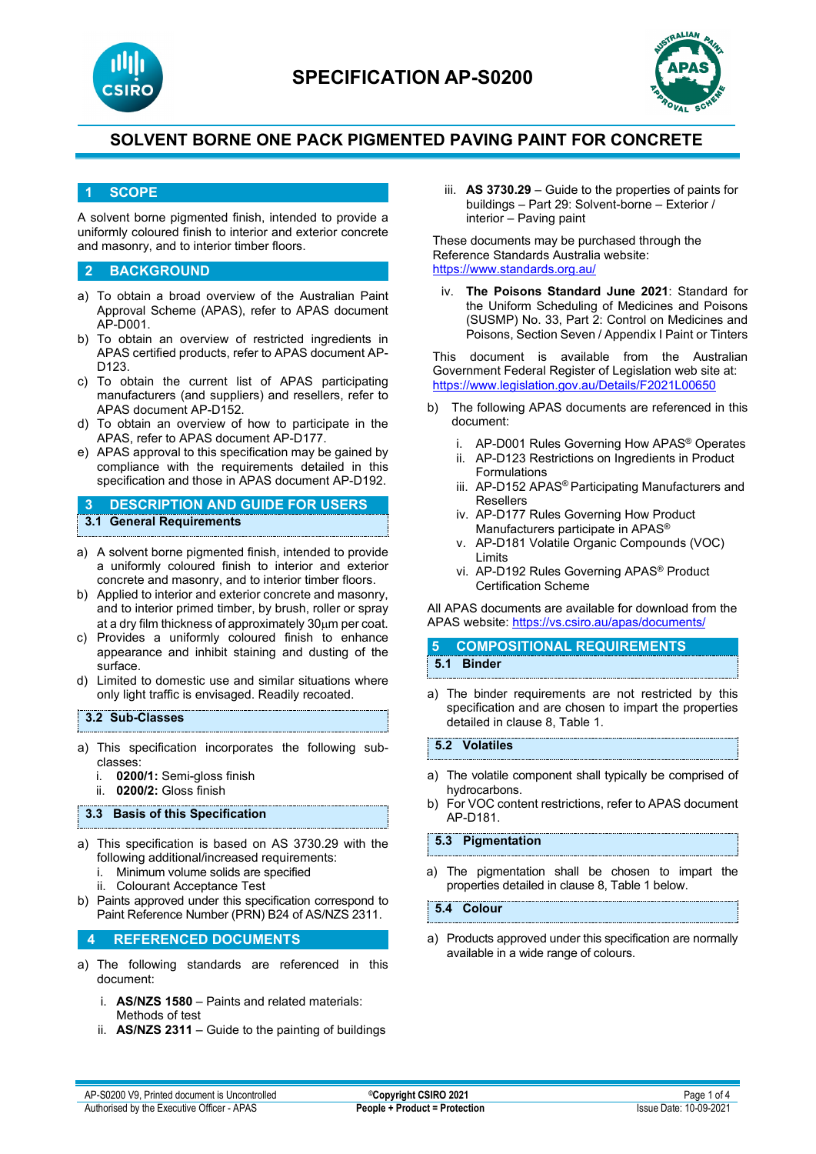



#### **1 SCOPE**

A solvent borne pigmented finish, intended to provide a uniformly coloured finish to interior and exterior concrete and masonry, and to interior timber floors.

#### **2 BACKGROUND**

- a) To obtain a broad overview of the Australian Paint Approval Scheme (APAS), refer to APAS document AP-D001.
- b) To obtain an overview of restricted ingredients in APAS certified products, refer to APAS document AP-D123.
- c) To obtain the current list of APAS participating manufacturers (and suppliers) and resellers, refer to APAS document AP-D152.
- d) To obtain an overview of how to participate in the APAS, refer to APAS document AP-D177.
- e) APAS approval to this specification may be gained by compliance with the requirements detailed in this specification and those in APAS document AP-D192.

**3 DESCRIPTION AND GUIDE FOR USERS 3.1 General Requirements**

- a) A solvent borne pigmented finish, intended to provide a uniformly coloured finish to interior and exterior concrete and masonry, and to interior timber floors.
- b) Applied to interior and exterior concrete and masonry, and to interior primed timber, by brush, roller or spray at a dry film thickness of approximately 30µm per coat.
- c) Provides a uniformly coloured finish to enhance appearance and inhibit staining and dusting of the surface.
- d) Limited to domestic use and similar situations where only light traffic is envisaged. Readily recoated.

#### **3.2 Sub-Classes**

- a) This specification incorporates the following subclasses:
	- 0200/1: Semi-gloss finish
	- ii. **0200/2:** Gloss finish

#### **3.3 Basis of this Specification**

- a) This specification is based on AS 3730.29 with the following additional/increased requirements:
	- i. Minimum volume solids are specified
	- ii. Colourant Acceptance Test
- b) Paints approved under this specification correspond to Paint Reference Number (PRN) B24 of AS/NZS 2311.

#### **4 REFERENCED DOCUMENTS**

- a) The following standards are referenced in this document:
	- i. **AS/NZS 1580** Paints and related materials: Methods of test
	- ii. **AS/NZS 2311**  Guide to the painting of buildings

iii. **AS 3730.29** – Guide to the properties of paints for buildings – Part 29: Solvent-borne – Exterior / interior – Paving paint

These documents may be purchased through the Reference Standards Australia website: <https://www.standards.org.au/>

The Poisons Standard June 2021: Standard for the Uniform Scheduling of Medicines and Poisons (SUSMP) No. 33, Part 2: Control on Medicines and Poisons, Section Seven / Appendix I Paint or Tinters

This document is available from the Australian Government Federal Register of Legislation web site at: <https://www.legislation.gov.au/Details/F2021L00650>

- b) The following APAS documents are referenced in this document:
	- i. AP-D001 Rules Governing How APAS® Operates
	- ii. AP-D123 Restrictions on Ingredients in Product Formulations
	- iii. AP-D152 APAS<sup>®</sup> Participating Manufacturers and Resellers
	- iv. AP-D177 Rules Governing How Product Manufacturers participate in APAS®
	- v. AP-D181 Volatile Organic Compounds (VOC) Limits
	- vi. AP-D192 Rules Governing APAS® Product Certification Scheme

All APAS documents are available for download from the APAS website: <https://vs.csiro.au/apas/documents/>

#### **5 COMPOSITIONAL REQUIREMENTS 5.1 Binder**

a) The binder requirements are not restricted by this specification and are chosen to impart the properties detailed in clause 8, Table 1.

#### **5.2 Volatiles**

- a) The volatile component shall typically be comprised of hydrocarbons.
- b) For VOC content restrictions, refer to APAS document AP-D181.

#### **5.3 Pigmentation**

a) The pigmentation shall be chosen to impart the properties detailed in clause 8, Table 1 below.

**5.4 Colour**

a) Products approved under this specification are normally available in a wide range of colours.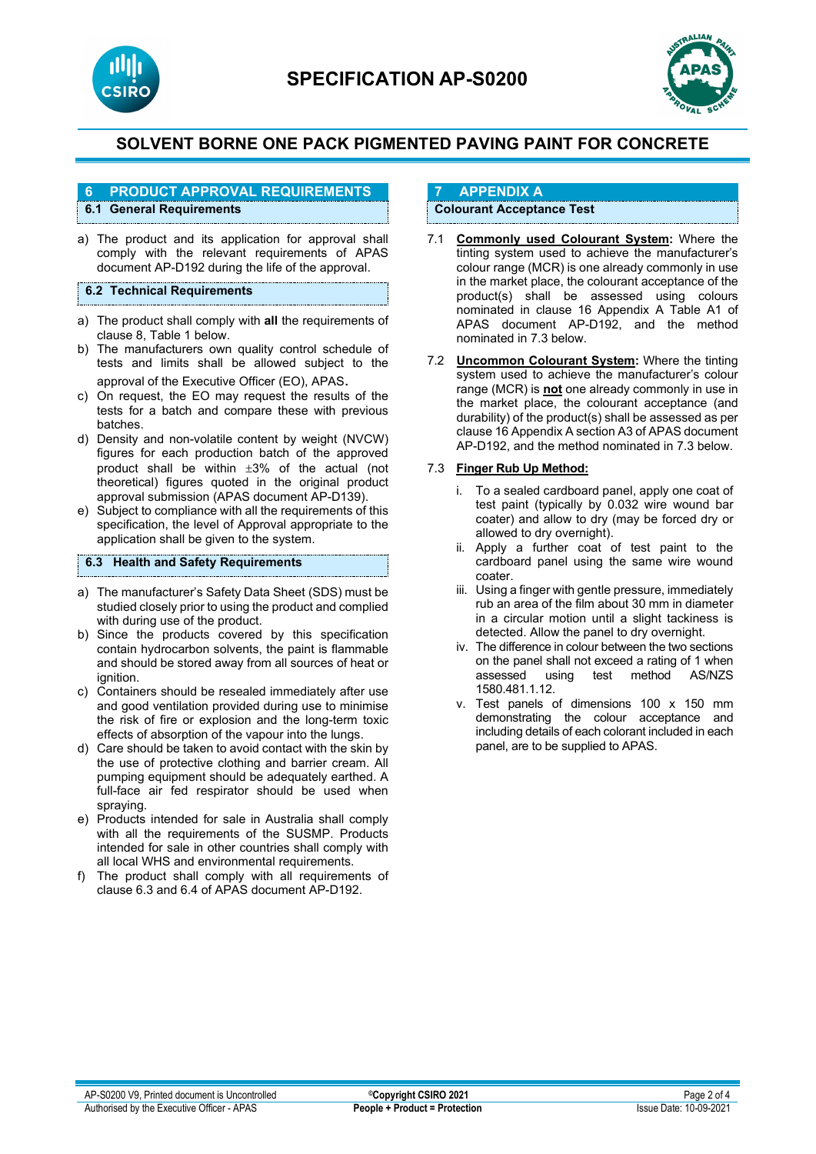



# **6 PRODUCT APPROVAL REQUIREMENTS**

## **6.1 General Requirements**

a) The product and its application for approval shall comply with the relevant requirements of APAS document AP-D192 during the life of the approval.

#### **6.2 Technical Requirements**

- a) The product shall comply with **all** the requirements of clause 8, Table 1 below.
- b) The manufacturers own quality control schedule of tests and limits shall be allowed subject to the approval of the Executive Officer (EO), APAS.
- c) On request, the EO may request the results of the tests for a batch and compare these with previous batches.
- d) Density and non-volatile content by weight (NVCW) figures for each production batch of the approved product shall be within ±3% of the actual (not theoretical) figures quoted in the original product approval submission (APAS document AP-D139).
- e) Subject to compliance with all the requirements of this specification, the level of Approval appropriate to the application shall be given to the system.

#### **6.3 Health and Safety Requirements**

- a) The manufacturer's Safety Data Sheet (SDS) must be studied closely prior to using the product and complied with during use of the product.
- b) Since the products covered by this specification contain hydrocarbon solvents, the paint is flammable and should be stored away from all sources of heat or ignition.
- c) Containers should be resealed immediately after use and good ventilation provided during use to minimise the risk of fire or explosion and the long-term toxic effects of absorption of the vapour into the lungs.
- d) Care should be taken to avoid contact with the skin by the use of protective clothing and barrier cream. All pumping equipment should be adequately earthed. A full-face air fed respirator should be used when spraying.
- e) Products intended for sale in Australia shall comply with all the requirements of the SUSMP. Products intended for sale in other countries shall comply with all local WHS and environmental requirements.
- f) The product shall comply with all requirements of clause 6.3 and 6.4 of APAS document AP-D192.

## **7 APPENDIX A**

### **Colourant Acceptance Test**

- 7.1 **Commonly used Colourant System:** Where the tinting system used to achieve the manufacturer's colour range (MCR) is one already commonly in use in the market place, the colourant acceptance of the product(s) shall be assessed using colours nominated in clause 16 Appendix A Table A1 of APAS document AP-D192, and the method nominated in 7.3 below.
- 7.2 **Uncommon Colourant System:** Where the tinting system used to achieve the manufacturer's colour range (MCR) is **not** one already commonly in use in the market place, the colourant acceptance (and durability) of the product(s) shall be assessed as per clause 16 Appendix A section A3 of APAS document AP-D192, and the method nominated in 7.3 below.

#### 7.3 **Finger Rub Up Method:**

- i. To a sealed cardboard panel, apply one coat of test paint (typically by 0.032 wire wound bar coater) and allow to dry (may be forced dry or allowed to dry overnight).
- ii. Apply a further coat of test paint to the cardboard panel using the same wire wound coater.
- iii. Using a finger with gentle pressure, immediately rub an area of the film about 30 mm in diameter in a circular motion until a slight tackiness is detected. Allow the panel to dry overnight.
- iv. The difference in colour between the two sections on the panel shall not exceed a rating of 1 when<br>assessed using test method AS/NZS using test method 1580.481.1.12.
- v. Test panels of dimensions 100 x 150 mm demonstrating the colour acceptance and including details of each colorant included in each panel, are to be supplied to APAS.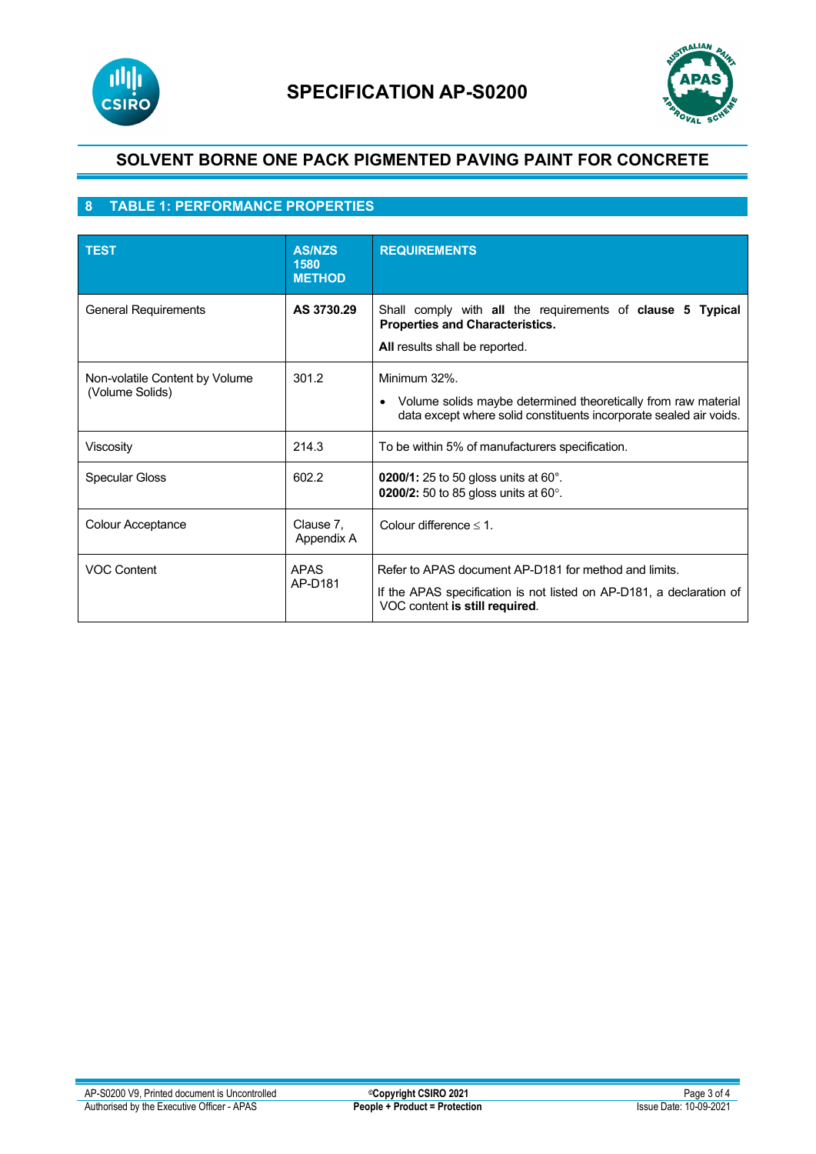



## **8 TABLE 1: PERFORMANCE PROPERTIES**

| <b>TEST</b>                                       | <b>AS/NZS</b><br>1580<br><b>METHOD</b> | <b>REQUIREMENTS</b>                                                                                                                                             |
|---------------------------------------------------|----------------------------------------|-----------------------------------------------------------------------------------------------------------------------------------------------------------------|
| <b>General Requirements</b>                       | AS 3730.29                             | Shall comply with all the requirements of clause 5 Typical<br><b>Properties and Characteristics.</b><br>All results shall be reported.                          |
| Non-volatile Content by Volume<br>(Volume Solids) | 301.2                                  | Minimum 32%.<br>Volume solids maybe determined theoretically from raw material<br>data except where solid constituents incorporate sealed air voids.            |
| Viscosity                                         | 214.3                                  | To be within 5% of manufacturers specification.                                                                                                                 |
| <b>Specular Gloss</b>                             | 602.2                                  | <b>0200/1:</b> 25 to 50 gloss units at 60°.<br>0200/2: 50 to 85 gloss units at 60°.                                                                             |
| Colour Acceptance                                 | Clause 7,<br>Appendix A                | Colour difference $\leq 1$ .                                                                                                                                    |
| <b>VOC Content</b>                                | <b>APAS</b><br>AP-D181                 | Refer to APAS document AP-D181 for method and limits.<br>If the APAS specification is not listed on AP-D181, a declaration of<br>VOC content is still required. |